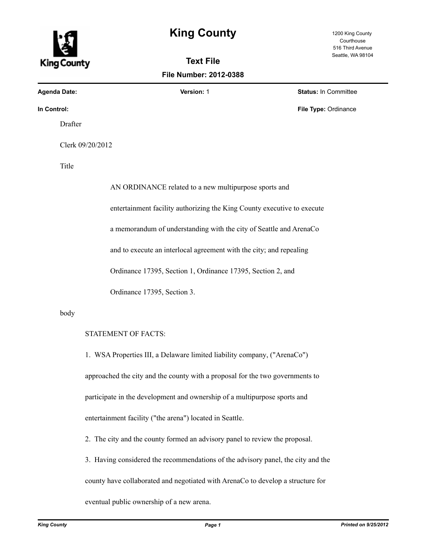## **King County** 1200 King County

**Text File File Number: 2012-0388**

Courthouse 516 Third Avenue Seattle, WA 98104

King County

**Agenda Date: Version:** 1 **Status:** In Committee

**In Control:** File Type: Ordinance **File Type: Ordinance** 

Drafter

Clerk 09/20/2012

Title

AN ORDINANCE related to a new multipurpose sports and entertainment facility authorizing the King County executive to execute a memorandum of understanding with the city of Seattle and ArenaCo and to execute an interlocal agreement with the city; and repealing Ordinance 17395, Section 1, Ordinance 17395, Section 2, and Ordinance 17395, Section 3.

body

## STATEMENT OF FACTS:

1. WSA Properties III, a Delaware limited liability company, ("ArenaCo") approached the city and the county with a proposal for the two governments to participate in the development and ownership of a multipurpose sports and entertainment facility ("the arena") located in Seattle.

2. The city and the county formed an advisory panel to review the proposal.

3. Having considered the recommendations of the advisory panel, the city and the

county have collaborated and negotiated with ArenaCo to develop a structure for

eventual public ownership of a new arena.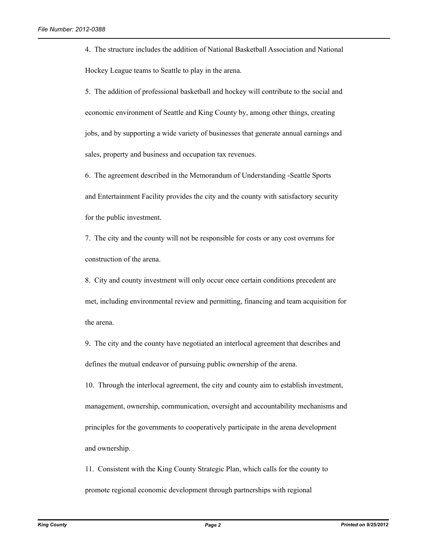4. The structure includes the addition of National Basketball Association and National Hockey League teams to Seattle to play in the arena.

5. The addition of professional basketball and hockey will contribute to the social and economic environment of Seattle and King County by, among other things, creating jobs, and by supporting a wide variety of businesses that generate annual earnings and sales, property and business and occupation tax revenues.

6. The agreement described in the Memorandum of Understanding -Seattle Sports and Entertainment Facility provides the city and the county with satisfactory security for the public investment.

7. The city and the county will not be responsible for costs or any cost overruns for construction of the arena.

8. City and county investment will only occur once certain conditions precedent are met, including environmental review and permitting, financing and team acquisition for the arena.

9. The city and the county have negotiated an interlocal agreement that describes and defines the mutual endeavor of pursuing public ownership of the arena.

10. Through the interlocal agreement, the city and county aim to establish investment, management, ownership, communication, oversight and accountability mechanisms and principles for the governments to cooperatively participate in the arena development and ownership.

11. Consistent with the King County Strategic Plan, which calls for the county to promote regional economic development through partnerships with regional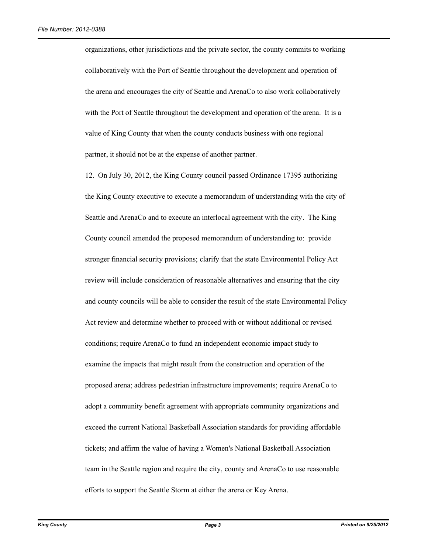organizations, other jurisdictions and the private sector, the county commits to working collaboratively with the Port of Seattle throughout the development and operation of the arena and encourages the city of Seattle and ArenaCo to also work collaboratively with the Port of Seattle throughout the development and operation of the arena. It is a value of King County that when the county conducts business with one regional partner, it should not be at the expense of another partner.

12. On July 30, 2012, the King County council passed Ordinance 17395 authorizing the King County executive to execute a memorandum of understanding with the city of Seattle and ArenaCo and to execute an interlocal agreement with the city. The King County council amended the proposed memorandum of understanding to: provide stronger financial security provisions; clarify that the state Environmental Policy Act review will include consideration of reasonable alternatives and ensuring that the city and county councils will be able to consider the result of the state Environmental Policy Act review and determine whether to proceed with or without additional or revised conditions; require ArenaCo to fund an independent economic impact study to examine the impacts that might result from the construction and operation of the proposed arena; address pedestrian infrastructure improvements; require ArenaCo to adopt a community benefit agreement with appropriate community organizations and exceed the current National Basketball Association standards for providing affordable tickets; and affirm the value of having a Women's National Basketball Association team in the Seattle region and require the city, county and ArenaCo to use reasonable efforts to support the Seattle Storm at either the arena or Key Arena.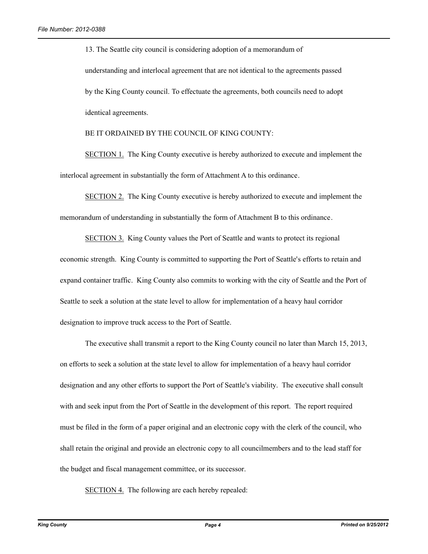13. The Seattle city council is considering adoption of a memorandum of understanding and interlocal agreement that are not identical to the agreements passed by the King County council. To effectuate the agreements, both councils need to adopt identical agreements.

BE IT ORDAINED BY THE COUNCIL OF KING COUNTY:

SECTION 1. The King County executive is hereby authorized to execute and implement the interlocal agreement in substantially the form of Attachment A to this ordinance.

SECTION 2. The King County executive is hereby authorized to execute and implement the memorandum of understanding in substantially the form of Attachment B to this ordinance.

SECTION 3. King County values the Port of Seattle and wants to protect its regional economic strength. King County is committed to supporting the Port of Seattle's efforts to retain and expand container traffic. King County also commits to working with the city of Seattle and the Port of Seattle to seek a solution at the state level to allow for implementation of a heavy haul corridor designation to improve truck access to the Port of Seattle.

The executive shall transmit a report to the King County council no later than March 15, 2013, on efforts to seek a solution at the state level to allow for implementation of a heavy haul corridor designation and any other efforts to support the Port of Seattle's viability. The executive shall consult with and seek input from the Port of Seattle in the development of this report. The report required must be filed in the form of a paper original and an electronic copy with the clerk of the council, who shall retain the original and provide an electronic copy to all councilmembers and to the lead staff for the budget and fiscal management committee, or its successor.

SECTION 4. The following are each hereby repealed: